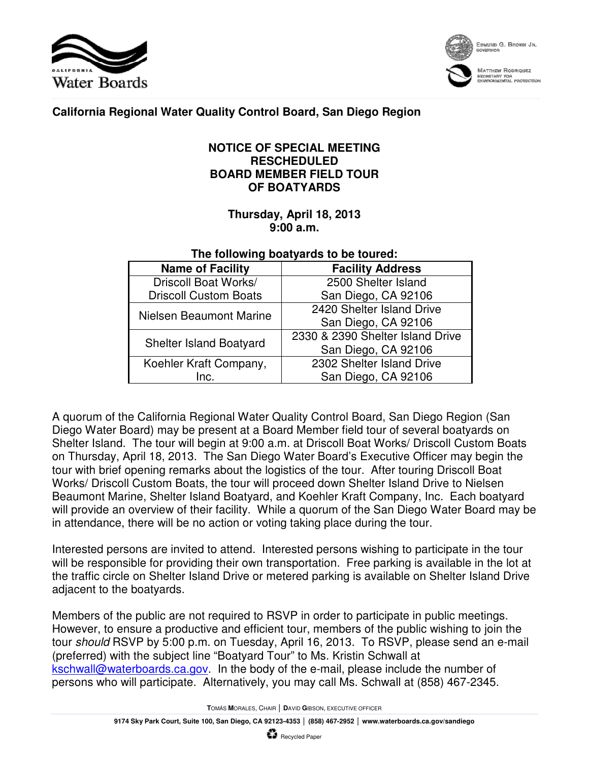



EDMUND G. BROWN JR.

**MATTHEW RODAIQUEZ** nechetany for<br>:Ryfronmental protection

## **California Regional Water Quality Control Board, San Diego Region**

## **NOTICE OF SPECIAL MEETING RESCHEDULED BOARD MEMBER FIELD TOUR OF BOATYARDS**

## **Thursday, April 18, 2013 9:00 a.m.**

## **The following boatyards to be toured:**

| <b>Name of Facility</b>        | <b>Facility Address</b>          |
|--------------------------------|----------------------------------|
| Driscoll Boat Works/           | 2500 Shelter Island              |
| <b>Driscoll Custom Boats</b>   | San Diego, CA 92106              |
| Nielsen Beaumont Marine        | 2420 Shelter Island Drive        |
|                                | San Diego, CA 92106              |
| <b>Shelter Island Boatyard</b> | 2330 & 2390 Shelter Island Drive |
|                                | San Diego, CA 92106              |
| Koehler Kraft Company,         | 2302 Shelter Island Drive        |
| Inc.                           | San Diego, CA 92106              |

A quorum of the California Regional Water Quality Control Board, San Diego Region (San Diego Water Board) may be present at a Board Member field tour of several boatyards on Shelter Island. The tour will begin at 9:00 a.m. at Driscoll Boat Works/ Driscoll Custom Boats on Thursday, April 18, 2013. The San Diego Water Board's Executive Officer may begin the tour with brief opening remarks about the logistics of the tour. After touring Driscoll Boat Works/ Driscoll Custom Boats, the tour will proceed down Shelter Island Drive to Nielsen Beaumont Marine, Shelter Island Boatyard, and Koehler Kraft Company, Inc. Each boatyard will provide an overview of their facility. While a quorum of the San Diego Water Board may be in attendance, there will be no action or voting taking place during the tour.

Interested persons are invited to attend. Interested persons wishing to participate in the tour will be responsible for providing their own transportation. Free parking is available in the lot at the traffic circle on Shelter Island Drive or metered parking is available on Shelter Island Drive adjacent to the boatyards.

Members of the public are not required to RSVP in order to participate in public meetings. However, to ensure a productive and efficient tour, members of the public wishing to join the tour should RSVP by 5:00 p.m. on Tuesday, April 16, 2013. To RSVP, please send an e-mail (preferred) with the subject line "Boatyard Tour" to Ms. Kristin Schwall at kschwall@waterboards.ca.gov. In the body of the e-mail, please include the number of persons who will participate. Alternatively, you may call Ms. Schwall at (858) 467-2345.

**T**OMÁS **M**ORALES, CHAIR │ **D**AVID **G**IBSON, EXECUTIVE OFFICER